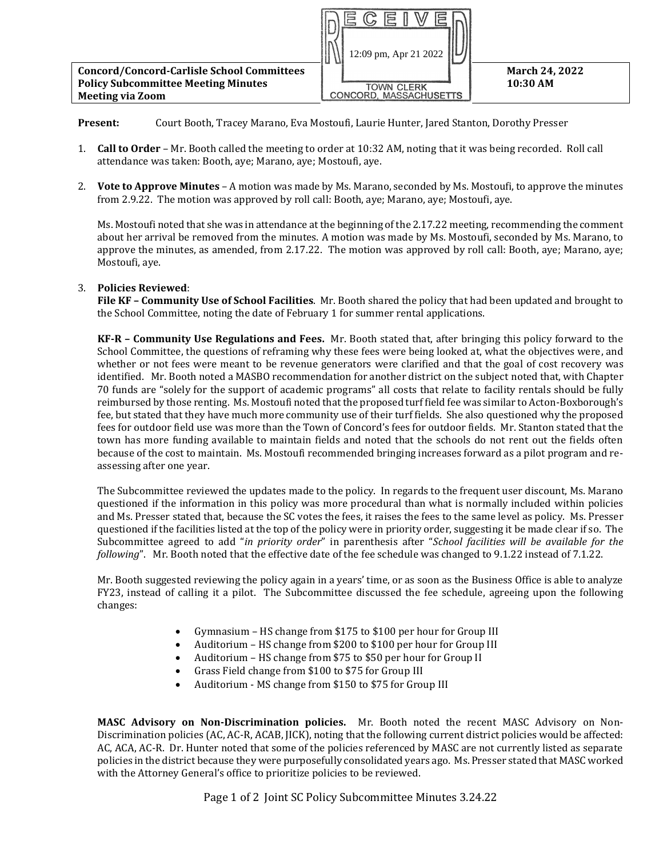

**Present:** Court Booth, Tracey Marano, Eva Mostoufi, Laurie Hunter, Jared Stanton, Dorothy Presser

- 1. **Call to Order** Mr. Booth called the meeting to order at 10:32 AM, noting that it was being recorded. Roll call attendance was taken: Booth, aye; Marano, aye; Mostoufi, aye.
- 2. **Vote to Approve Minutes**  A motion was made by Ms. Marano, seconded by Ms. Mostoufi, to approve the minutes from 2.9.22. The motion was approved by roll call: Booth, aye; Marano, aye; Mostoufi, aye.

Ms. Mostoufi noted that she was in attendance at the beginning of the 2.17.22 meeting, recommending the comment about her arrival be removed from the minutes. A motion was made by Ms. Mostoufi, seconded by Ms. Marano, to approve the minutes, as amended, from 2.17.22. The motion was approved by roll call: Booth, aye; Marano, aye; Mostoufi, aye.

## 3. **Policies Reviewed**:

**File KF – Community Use of School Facilities**. Mr. Booth shared the policy that had been updated and brought to the School Committee, noting the date of February 1 for summer rental applications.

**KF-R – Community Use Regulations and Fees.** Mr. Booth stated that, after bringing this policy forward to the School Committee, the questions of reframing why these fees were being looked at, what the objectives were, and whether or not fees were meant to be revenue generators were clarified and that the goal of cost recovery was identified. Mr. Booth noted a MASBO recommendation for another district on the subject noted that, with Chapter 70 funds are "solely for the support of academic programs" all costs that relate to facility rentals should be fully reimbursed by those renting. Ms. Mostoufi noted that the proposed turf field fee was similar to Acton-Boxborough's fee, but stated that they have much more community use of their turf fields. She also questioned why the proposed fees for outdoor field use was more than the Town of Concord's fees for outdoor fields. Mr. Stanton stated that the town has more funding available to maintain fields and noted that the schools do not rent out the fields often because of the cost to maintain. Ms. Mostoufi recommended bringing increases forward as a pilot program and reassessing after one year.

The Subcommittee reviewed the updates made to the policy. In regards to the frequent user discount, Ms. Marano questioned if the information in this policy was more procedural than what is normally included within policies and Ms. Presser stated that, because the SC votes the fees, it raises the fees to the same level as policy. Ms. Presser questioned if the facilities listed at the top of the policy were in priority order, suggesting it be made clear if so. The Subcommittee agreed to add "*in priority order*" in parenthesis after "*School facilities will be available for the following*". Mr. Booth noted that the effective date of the fee schedule was changed to 9.1.22 instead of 7.1.22.

Mr. Booth suggested reviewing the policy again in a years' time, or as soon as the Business Office is able to analyze FY23, instead of calling it a pilot. The Subcommittee discussed the fee schedule, agreeing upon the following changes:

- Gymnasium HS change from \$175 to \$100 per hour for Group III
- Auditorium HS change from \$200 to \$100 per hour for Group III
- Auditorium HS change from \$75 to \$50 per hour for Group II
- Grass Field change from \$100 to \$75 for Group III
- Auditorium MS change from \$150 to \$75 for Group III

 **MASC Advisory on Non-Discrimination policies.** Mr. Booth noted the recent MASC Advisory on Non-Discrimination policies (AC, AC-R, ACAB, JICK), noting that the following current district policies would be affected: AC, ACA, AC-R. Dr. Hunter noted that some of the policies referenced by MASC are not currently listed as separate policies in the district because they were purposefully consolidated years ago. Ms. Presser stated that MASC worked with the Attorney General's office to prioritize policies to be reviewed.

Page 1 of 2 Joint SC Policy Subcommittee Minutes 3.24.22